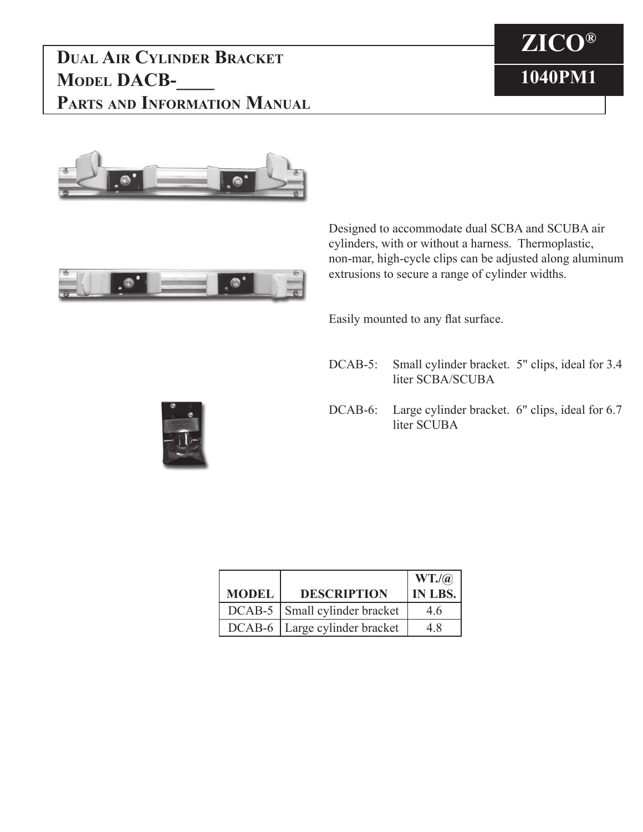## **Dual Air Cylinder Bracket MODEL DACB-Parts and Information Manual**







Designed to accommodate dual SCBA and SCUBA air cylinders, with or without a harness. Thermoplastic, non-mar, high-cycle clips can be adjusted along aluminum extrusions to secure a range of cylinder widths.

Easily mounted to any flat surface.

- DCAB-5: Small cylinder bracket. 5" clips, ideal for 3.4 liter SCBA/SCUBA
- DCAB-6: Large cylinder bracket. 6" clips, ideal for 6.7 liter SCUBA



| <b>MODEL</b> | <b>DESCRIPTION</b>              | WT.(a)<br>IN LBS. |
|--------------|---------------------------------|-------------------|
|              | DCAB-5   Small cylinder bracket | 46                |
|              | DCAB-6   Large cylinder bracket | 48                |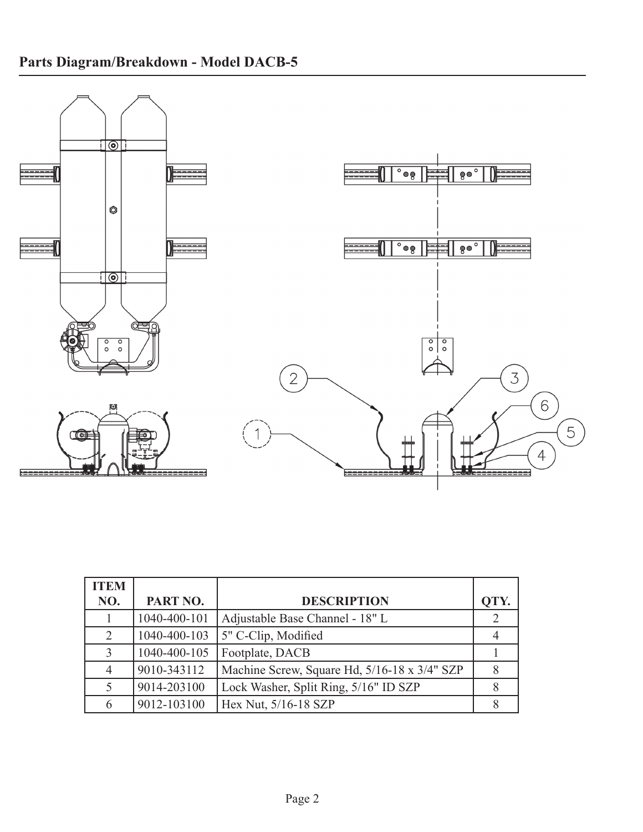

| <b>ITEM</b>    |              |                                              |      |
|----------------|--------------|----------------------------------------------|------|
| NO.            | PART NO.     | <b>DESCRIPTION</b>                           | OTY. |
|                | 1040-400-101 | Adjustable Base Channel - 18" L              | 2    |
| $\overline{2}$ | 1040-400-103 | 5" C-Clip, Modified                          |      |
|                | 1040-400-105 | Footplate, DACB                              |      |
|                | 9010-343112  | Machine Screw, Square Hd, 5/16-18 x 3/4" SZP |      |
|                | 9014-203100  | Lock Washer, Split Ring, 5/16" ID SZP        | 8    |
| 6              | 9012-103100  | Hex Nut, 5/16-18 SZP                         | 8    |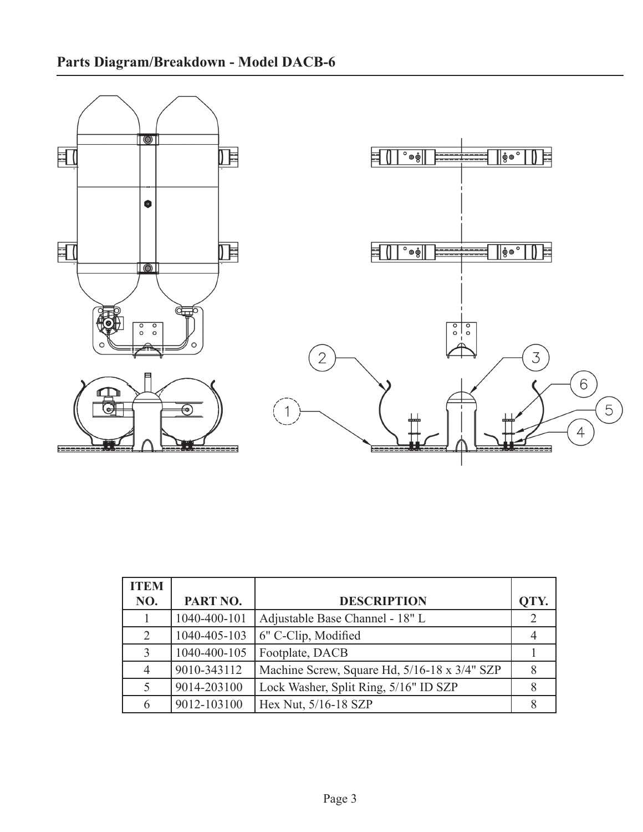

| <b>ITEM</b> |              |                                              |               |
|-------------|--------------|----------------------------------------------|---------------|
| NO.         | PART NO.     | <b>DESCRIPTION</b>                           | OTY.          |
|             | 1040-400-101 | Adjustable Base Channel - 18" L              | $\mathcal{L}$ |
| 2           | 1040-405-103 | $\vert$ 6" C-Clip, Modified                  |               |
| 3           | 1040-400-105 | Footplate, DACB                              |               |
| 4           | 9010-343112  | Machine Screw, Square Hd, 5/16-18 x 3/4" SZP |               |
|             | 9014-203100  | Lock Washer, Split Ring, 5/16" ID SZP        |               |
| 6           | 9012-103100  | Hex Nut, 5/16-18 SZP                         | 8             |